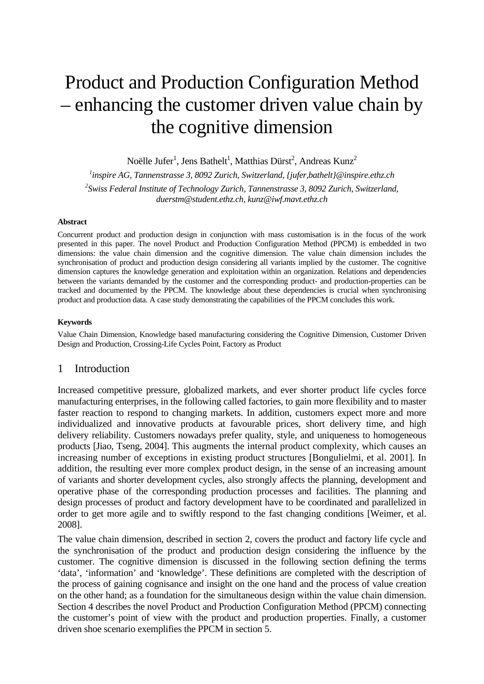# Product and Production Configuration Method – enhancing the customer driven value chain by the cognitive dimension

Noëlle Jufer<sup>1</sup>, Jens Bathelt<sup>1</sup>, Matthias Dürst<sup>2</sup>, Andreas Kunz<sup>2</sup>

*1 inspire AG, Tannenstrasse 3, 8092 Zurich, Switzerland, {jufer,bathelt}@inspire.ethz.ch 2 Swiss Federal Institute of Technology Zurich, Tannenstrasse 3, 8092 Zurich, Switzerland, duerstm@student.ethz.ch, kunz@iwf.mavt.ethz.ch* 

#### **Abstract**

Concurrent product and production design in conjunction with mass customisation is in the focus of the work presented in this paper. The novel Product and Production Configuration Method (PPCM) is embedded in two dimensions: the value chain dimension and the cognitive dimension. The value chain dimension includes the synchronisation of product and production design considering all variants implied by the customer. The cognitive dimension captures the knowledge generation and exploitation within an organization. Relations and dependencies between the variants demanded by the customer and the corresponding product- and production-properties can be tracked and documented by the PPCM. The knowledge about these dependencies is crucial when synchronising product and production data. A case study demonstrating the capabilities of the PPCM concludes this work.

#### **Keywords**

Value Chain Dimension, Knowledge based manufacturing considering the Cognitive Dimension, Customer Driven Design and Production, Crossing-Life Cycles Point, Factory as Product

## 1 Introduction

Increased competitive pressure, globalized markets, and ever shorter product life cycles force manufacturing enterprises, in the following called factories, to gain more flexibility and to master faster reaction to respond to changing markets. In addition, customers expect more and more individualized and innovative products at favourable prices, short delivery time, and high delivery reliability. Customers nowadays prefer quality, style, and uniqueness to homogeneous products [Jiao, Tseng, 2004]. This augments the internal product complexity, which causes an increasing number of exceptions in existing product structures [Bongulielmi, et al. 2001]. In addition, the resulting ever more complex product design, in the sense of an increasing amount of variants and shorter development cycles, also strongly affects the planning, development and operative phase of the corresponding production processes and facilities. The planning and design processes of product and factory development have to be coordinated and parallelized in order to get more agile and to swiftly respond to the fast changing conditions [Weimer, et al. 2008].

The value chain dimension, described in section 2, covers the product and factory life cycle and the synchronisation of the product and production design considering the influence by the customer. The cognitive dimension is discussed in the following section defining the terms 'data', 'information' and 'knowledge'. These definitions are completed with the description of the process of gaining cognisance and insight on the one hand and the process of value creation on the other hand; as a foundation for the simultaneous design within the value chain dimension. Section 4 describes the novel Product and Production Configuration Method (PPCM) connecting the customer's point of view with the product and production properties. Finally, a customer driven shoe scenario exemplifies the PPCM in section 5.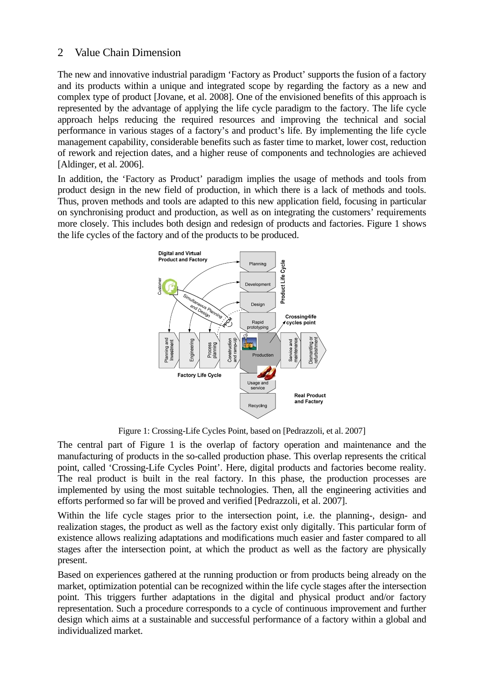# 2 Value Chain Dimension

The new and innovative industrial paradigm 'Factory as Product' supports the fusion of a factory and its products within a unique and integrated scope by regarding the factory as a new and complex type of product [Jovane, et al. 2008]. One of the envisioned benefits of this approach is represented by the advantage of applying the life cycle paradigm to the factory. The life cycle approach helps reducing the required resources and improving the technical and social performance in various stages of a factory's and product's life. By implementing the life cycle management capability, considerable benefits such as faster time to market, lower cost, reduction of rework and rejection dates, and a higher reuse of components and technologies are achieved [Aldinger, et al. 2006].

In addition, the 'Factory as Product' paradigm implies the usage of methods and tools from product design in the new field of production, in which there is a lack of methods and tools. Thus, proven methods and tools are adapted to this new application field, focusing in particular on synchronising product and production, as well as on integrating the customers' requirements more closely. This includes both design and redesign of products and factories. Figure 1 shows the life cycles of the factory and of the products to be produced.



Figure 1: Crossing-Life Cycles Point, based on [Pedrazzoli, et al. 2007]

The central part of Figure 1 is the overlap of factory operation and maintenance and the manufacturing of products in the so-called production phase. This overlap represents the critical point, called 'Crossing-Life Cycles Point'. Here, digital products and factories become reality. The real product is built in the real factory. In this phase, the production processes are implemented by using the most suitable technologies. Then, all the engineering activities and efforts performed so far will be proved and verified [Pedrazzoli, et al. 2007].

Within the life cycle stages prior to the intersection point, i.e. the planning-, design- and realization stages, the product as well as the factory exist only digitally. This particular form of existence allows realizing adaptations and modifications much easier and faster compared to all stages after the intersection point, at which the product as well as the factory are physically present.

Based on experiences gathered at the running production or from products being already on the market, optimization potential can be recognized within the life cycle stages after the intersection point. This triggers further adaptations in the digital and physical product and/or factory representation. Such a procedure corresponds to a cycle of continuous improvement and further design which aims at a sustainable and successful performance of a factory within a global and individualized market.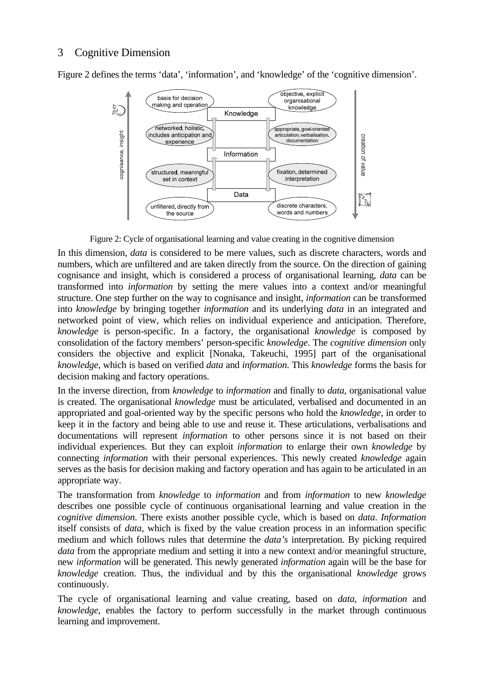## 3 Cognitive Dimension

Figure 2 defines the terms 'data', 'information', and 'knowledge' of the 'cognitive dimension'.



Figure 2: Cycle of organisational learning and value creating in the cognitive dimension

In this dimension, *data* is considered to be mere values, such as discrete characters, words and numbers, which are unfiltered and are taken directly from the source. On the direction of gaining cognisance and insight, which is considered a process of organisational learning, *data* can be transformed into *information* by setting the mere values into a context and/or meaningful structure. One step further on the way to cognisance and insight, *information* can be transformed into *knowledge* by bringing together *information* and its underlying *data* in an integrated and networked point of view, which relies on individual experience and anticipation. Therefore, *knowledge* is person-specific. In a factory, the organisational *knowledge* is composed by consolidation of the factory members' person-specific *knowledge*. The *cognitive dimension* only considers the objective and explicit [Nonaka, Takeuchi, 1995] part of the organisational *knowledge*, which is based on verified *data* and *information*. This *knowledge* forms the basis for decision making and factory operations.

In the inverse direction, from *knowledge* to *information* and finally to *data*, organisational value is created. The organisational *knowledge* must be articulated, verbalised and documented in an appropriated and goal-oriented way by the specific persons who hold the *knowledge*, in order to keep it in the factory and being able to use and reuse it. These articulations, verbalisations and documentations will represent *information* to other persons since it is not based on their individual experiences. But they can exploit *information* to enlarge their own *knowledge* by connecting *information* with their personal experiences. This newly created *knowledge* again serves as the basis for decision making and factory operation and has again to be articulated in an appropriate way.

The transformation from *knowledge* to *information* and from *information* to new *knowledge* describes one possible cycle of continuous organisational learning and value creation in the *cognitive dimension*. There exists another possible cycle, which is based on *data*. *Information* itself consists of *data*, which is fixed by the value creation process in an information specific medium and which follows rules that determine the *data's* interpretation. By picking required *data* from the appropriate medium and setting it into a new context and/or meaningful structure, new *information* will be generated. This newly generated *information* again will be the base for *knowledge* creation. Thus, the individual and by this the organisational *knowledge* grows continuously.

The cycle of organisational learning and value creating, based on *data*, *information* and *knowledge*, enables the factory to perform successfully in the market through continuous learning and improvement.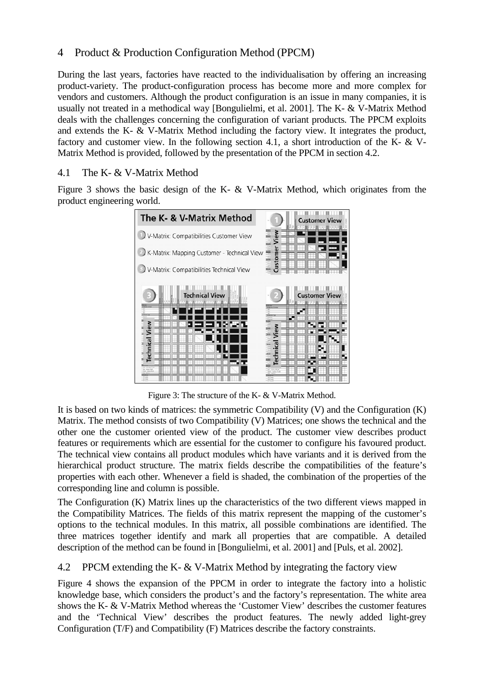# 4 Product & Production Configuration Method (PPCM)

During the last years, factories have reacted to the individualisation by offering an increasing product-variety. The product-configuration process has become more and more complex for vendors and customers. Although the product configuration is an issue in many companies, it is usually not treated in a methodical way [Bongulielmi, et al. 2001]. The K- & V-Matrix Method deals with the challenges concerning the configuration of variant products. The PPCM exploits and extends the K- & V-Matrix Method including the factory view. It integrates the product, factory and customer view. In the following section 4.1, a short introduction of the K- & V-Matrix Method is provided, followed by the presentation of the PPCM in section 4.2.

# 4.1 The K- & V-Matrix Method

Figure 3 shows the basic design of the K- & V-Matrix Method, which originates from the product engineering world.



Figure 3: The structure of the K- & V-Matrix Method.

It is based on two kinds of matrices: the symmetric Compatibility (V) and the Configuration (K) Matrix. The method consists of two Compatibility (V) Matrices; one shows the technical and the other one the customer oriented view of the product. The customer view describes product features or requirements which are essential for the customer to configure his favoured product. The technical view contains all product modules which have variants and it is derived from the hierarchical product structure. The matrix fields describe the compatibilities of the feature's properties with each other. Whenever a field is shaded, the combination of the properties of the corresponding line and column is possible.

The Configuration (K) Matrix lines up the characteristics of the two different views mapped in the Compatibility Matrices. The fields of this matrix represent the mapping of the customer's options to the technical modules. In this matrix, all possible combinations are identified. The three matrices together identify and mark all properties that are compatible. A detailed description of the method can be found in [Bongulielmi, et al. 2001] and [Puls, et al. 2002].

# 4.2 PPCM extending the K- & V-Matrix Method by integrating the factory view

Figure 4 shows the expansion of the PPCM in order to integrate the factory into a holistic knowledge base, which considers the product's and the factory's representation. The white area shows the K- & V-Matrix Method whereas the 'Customer View' describes the customer features and the 'Technical View' describes the product features. The newly added light-grey Configuration (T/F) and Compatibility (F) Matrices describe the factory constraints.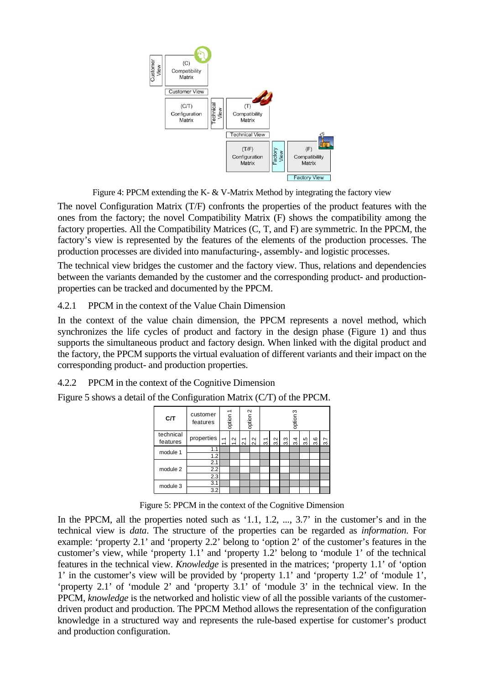

Figure 4: PPCM extending the K- & V-Matrix Method by integrating the factory view

The novel Configuration Matrix (T/F) confronts the properties of the product features with the ones from the factory; the novel Compatibility Matrix (F) shows the compatibility among the factory properties. All the Compatibility Matrices (C, T, and F) are symmetric. In the PPCM, the factory's view is represented by the features of the elements of the production processes. The production processes are divided into manufacturing-, assembly- and logistic processes.

The technical view bridges the customer and the factory view. Thus, relations and dependencies between the variants demanded by the customer and the corresponding product- and productionproperties can be tracked and documented by the PPCM.

# 4.2.1 PPCM in the context of the Value Chain Dimension

In the context of the value chain dimension, the PPCM represents a novel method, which synchronizes the life cycles of product and factory in the design phase (Figure 1) and thus supports the simultaneous product and factory design. When linked with the digital product and the factory, the PPCM supports the virtual evaluation of different variants and their impact on the corresponding product- and production properties.

# 4.2.2 PPCM in the context of the Cognitive Dimension

Figure 5 shows a detail of the Configuration Matrix (C/T) of the PPCM.

| C/T                   | customer<br>features | option 1                       |   | option 2     |    | option 3      |     |    |     |        |     |     |
|-----------------------|----------------------|--------------------------------|---|--------------|----|---------------|-----|----|-----|--------|-----|-----|
| technical<br>features | properties           | ↽.<br>$\overline{\phantom{0}}$ | Ņ | 7.<br>$\sim$ | 22 | $\frac{1}{3}$ | 3.2 | 33 | 3.4 | ې<br>ო | 3.6 | 3.7 |
| module 1              | 1.1                  |                                |   |              |    |               |     |    |     |        |     |     |
|                       | 1.2                  |                                |   |              |    |               |     |    |     |        |     |     |
| module 2              | 2.1                  |                                |   |              |    |               |     |    |     |        |     |     |
|                       | 2.2                  |                                |   |              |    |               |     |    |     |        |     |     |
|                       | 2.3                  |                                |   |              |    |               |     |    |     |        |     |     |
| module 3              | 3.1                  |                                |   |              |    |               |     |    |     |        |     |     |
|                       | 3.2                  |                                |   |              |    |               |     |    |     |        |     |     |

Figure 5: PPCM in the context of the Cognitive Dimension

In the PPCM, all the properties noted such as '1.1, 1.2, ..., 3.7' in the customer's and in the technical view is *data*. The structure of the properties can be regarded as *information*. For example: 'property 2.1' and 'property 2.2' belong to 'option 2' of the customer's features in the customer's view, while 'property 1.1' and 'property 1.2' belong to 'module 1' of the technical features in the technical view. *Knowledge* is presented in the matrices; 'property 1.1' of 'option 1' in the customer's view will be provided by 'property 1.1' and 'property 1.2' of 'module 1', 'property 2.1' of 'module 2' and 'property 3.1' of 'module 3' in the technical view. In the PPCM, *knowledge* is the networked and holistic view of all the possible variants of the customerdriven product and production. The PPCM Method allows the representation of the configuration knowledge in a structured way and represents the rule-based expertise for customer's product and production configuration.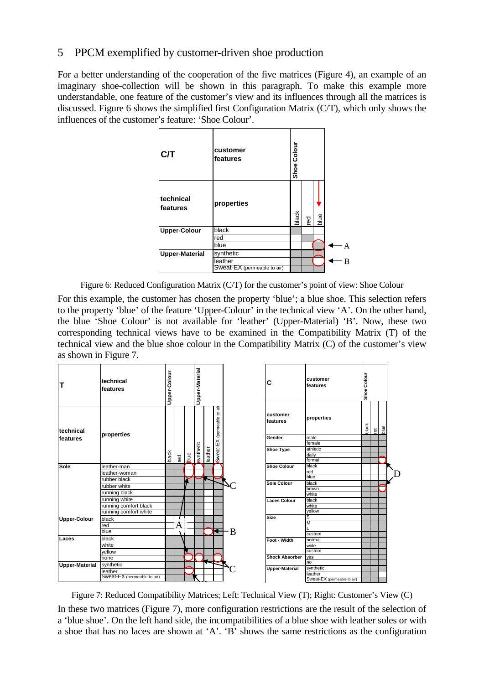# 5 PPCM exemplified by customer-driven shoe production

For a better understanding of the cooperation of the five matrices (Figure 4), an example of an imaginary shoe-collection will be shown in this paragraph. To make this example more understandable, one feature of the customer's view and its influences through all the matrices is discussed. Figure 6 shows the simplified first Configuration Matrix (C/T), which only shows the influences of the customer's feature: 'Shoe Colour'.



Figure 6: Reduced Configuration Matrix (C/T) for the customer's point of view: Shoe Colour

For this example, the customer has chosen the property 'blue'; a blue shoe. This selection refers to the property 'blue' of the feature 'Upper-Colour' in the technical view 'A'. On the other hand, the blue 'Shoe Colour' is not available for 'leather' (Upper-Material) 'B'. Now, these two corresponding technical views have to be examined in the Compatibility Matrix (T) of the technical view and the blue shoe colour in the Compatibility Matrix (C) of the customer's view as shown in Figure 7.



Figure 7: Reduced Compatibility Matrices; Left: Technical View (T); Right: Customer's View (C) In these two matrices (Figure 7), more configuration restrictions are the result of the selection of a 'blue shoe'. On the left hand side, the incompatibilities of a blue shoe with leather soles or with a shoe that has no laces are shown at 'A'. 'B' shows the same restrictions as the configuration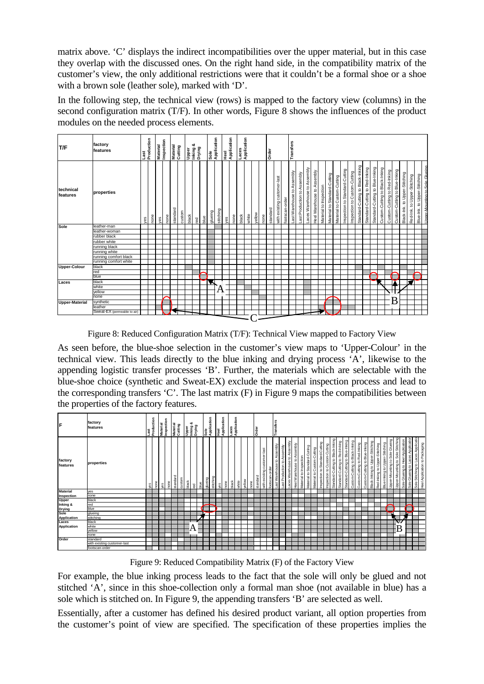matrix above. 'C' displays the indirect incompatibilities over the upper material, but in this case they overlap with the discussed ones. On the right hand side, in the compatibility matrix of the customer's view, the only additional restrictions were that it couldn't be a formal shoe or a shoe with a brown sole (leather sole), marked with 'D'.

In the following step, the technical view (rows) is mapped to the factory view (columns) in the second configuration matrix (T/F). In other words, Figure 8 shows the influences of the product modules on the needed process elements.



Figure 8: Reduced Configuration Matrix (T/F): Technical View mapped to Factory View

As seen before, the blue-shoe selection in the customer's view maps to 'Upper-Colour' in the technical view. This leads directly to the blue inking and drying process 'A', likewise to the appending logistic transfer processes 'B'. Further, the materials which are selectable with the blue-shoe choice (synthetic and Sweat-EX) exclude the material inspection process and lead to the corresponding transfers 'C'. The last matrix (F) in Figure 9 maps the compatibilities between the properties of the factory features.



Figure 9: Reduced Compatibility Matrix (F) of the Factory View

For example, the blue inking process leads to the fact that the sole will only be glued and not stitched 'A', since in this shoe-collection only a formal man shoe (not available in blue) has a sole which is stitched on. In Figure 9, the appending transfers 'B' are selected as well.

Essentially, after a customer has defined his desired product variant, all option properties from the customer's point of view are specified. The specification of these properties implies the